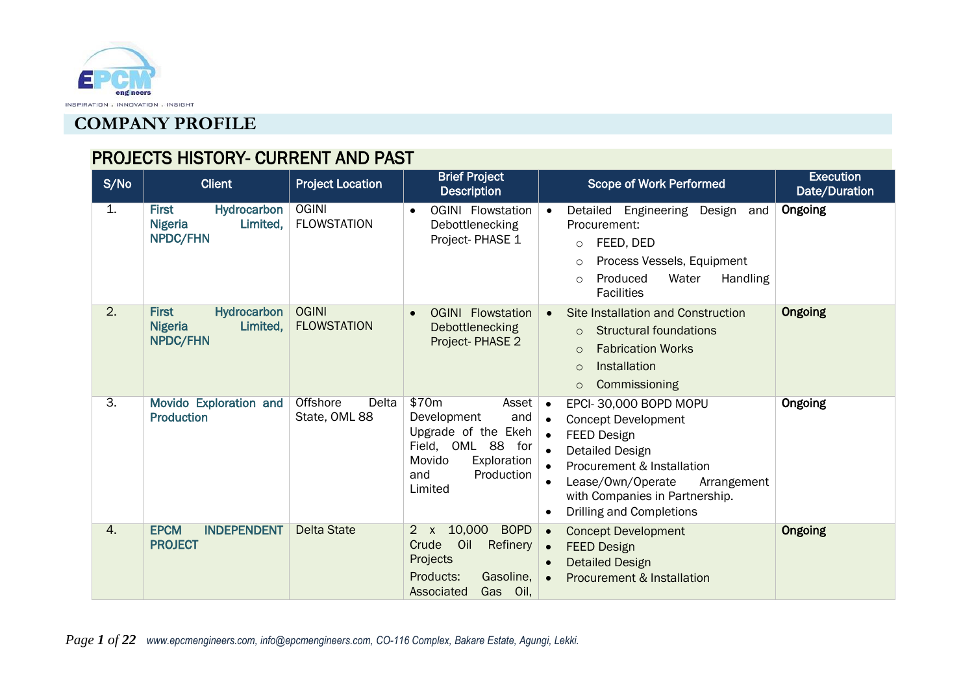

# PROJECTS HISTORY- CURRENT AND PAST

| S/No             | <b>Client</b>                                                                | <b>Project Location</b>            | <b>Brief Project</b><br><b>Description</b>                                                                                                | <b>Scope of Work Performed</b>                                                                                                                                                                                                                                                                             | <b>Execution</b><br>Date/Duration |
|------------------|------------------------------------------------------------------------------|------------------------------------|-------------------------------------------------------------------------------------------------------------------------------------------|------------------------------------------------------------------------------------------------------------------------------------------------------------------------------------------------------------------------------------------------------------------------------------------------------------|-----------------------------------|
| 1.               | <b>Hydrocarbon</b><br><b>First</b><br>Limited,<br><b>Nigeria</b><br>NPDC/FHN | <b>OGINI</b><br><b>FLOWSTATION</b> | <b>OGINI</b> Flowstation<br>$\bullet$<br>Debottlenecking<br>Project-PHASE 1                                                               | Detailed Engineering<br>Design<br>and<br>$\bullet$<br>Procurement:<br>FEED, DED<br>$\circ$<br>Process Vessels, Equipment<br>$\circ$<br>Produced<br>Water<br>Handling<br>$\circ$<br><b>Facilities</b>                                                                                                       | Ongoing                           |
| $\overline{2}$ . | <b>First</b><br>Hydrocarbon<br>Limited,<br><b>Nigeria</b><br><b>NPDC/FHN</b> | <b>OGINI</b><br><b>FLOWSTATION</b> | <b>OGINI</b> Flowstation<br>Debottlenecking<br>Project-PHASE 2                                                                            | Site Installation and Construction<br>$\bullet$<br><b>Structural foundations</b><br>$\circ$<br><b>Fabrication Works</b><br>$\Omega$<br>Installation<br>$\circ$<br>Commissioning<br>$\circ$                                                                                                                 | Ongoing                           |
| $\overline{3}$ . | Movido Exploration and<br><b>Production</b>                                  | Offshore<br>Delta<br>State, OML 88 | \$70m<br>Asset<br>and<br>Development<br>Upgrade of the Ekeh<br>Field, OML 88 for<br>Movido<br>Exploration<br>Production<br>and<br>Limited | EPCI-30,000 BOPD MOPU<br>$\bullet$<br><b>Concept Development</b><br>$\bullet$<br>FEED Design<br>$\bullet$<br><b>Detailed Design</b><br>$\bullet$<br>Procurement & Installation<br>Lease/Own/Operate<br>Arrangement<br>$\bullet$<br>with Companies in Partnership.<br>Drilling and Completions<br>$\bullet$ | Ongoing                           |
| $\overline{4}$ . | <b>EPCM</b><br><b>INDEPENDENT</b><br><b>PROJECT</b>                          | <b>Delta State</b>                 | 10,000<br><b>BOPD</b><br>$2 \times$<br>Crude<br>Oil<br><b>Refinery</b><br>Projects<br>Products:<br>Gasoline,<br>Associated<br>Gas<br>Oil, | <b>Concept Development</b><br>$\bullet$<br><b>FEED Design</b><br>$\bullet$<br><b>Detailed Design</b><br>$\bullet$<br>Procurement & Installation                                                                                                                                                            | Ongoing                           |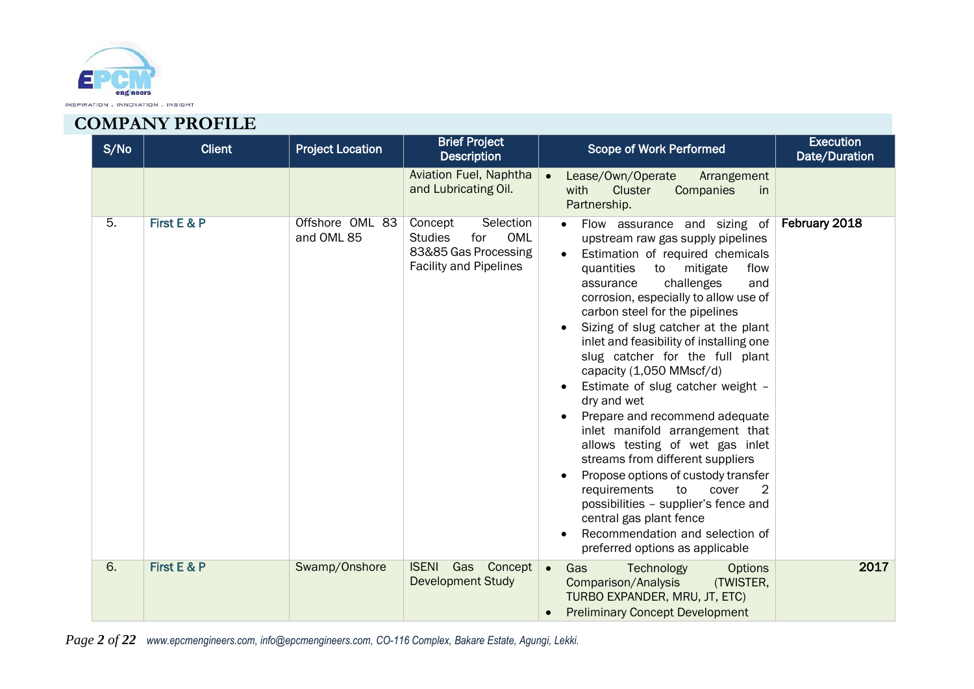

| S/No | <b>Client</b> | <b>Project Location</b>       | <b>Brief Project</b><br><b>Description</b>                                                                    | <b>Scope of Work Performed</b>                                                                                                                                                                                                                                                                                                                                                                                                                                                                                                                                                                                                                                                                                                                                                                                                  | <b>Execution</b><br>Date/Duration |
|------|---------------|-------------------------------|---------------------------------------------------------------------------------------------------------------|---------------------------------------------------------------------------------------------------------------------------------------------------------------------------------------------------------------------------------------------------------------------------------------------------------------------------------------------------------------------------------------------------------------------------------------------------------------------------------------------------------------------------------------------------------------------------------------------------------------------------------------------------------------------------------------------------------------------------------------------------------------------------------------------------------------------------------|-----------------------------------|
|      |               |                               | Aviation Fuel, Naphtha<br>and Lubricating Oil.                                                                | Lease/Own/Operate<br>Arrangement<br>Cluster<br>with<br>Companies<br><i>in</i><br>Partnership.                                                                                                                                                                                                                                                                                                                                                                                                                                                                                                                                                                                                                                                                                                                                   |                                   |
| 5.   | First E & P   | Offshore OML 83<br>and OML 85 | Selection<br>Concept<br>OML<br><b>Studies</b><br>for<br>83&85 Gas Processing<br><b>Facility and Pipelines</b> | Flow assurance and sizing of<br>upstream raw gas supply pipelines<br>Estimation of required chemicals<br>to<br>mitigate<br>flow<br>quantities<br>challenges<br>and<br>assurance<br>corrosion, especially to allow use of<br>carbon steel for the pipelines<br>Sizing of slug catcher at the plant<br>inlet and feasibility of installing one<br>slug catcher for the full plant<br>capacity (1,050 MMscf/d)<br>Estimate of slug catcher weight -<br>dry and wet<br>Prepare and recommend adequate<br>inlet manifold arrangement that<br>allows testing of wet gas inlet<br>streams from different suppliers<br>Propose options of custody transfer<br>requirements<br>to<br>cover<br>2<br>possibilities - supplier's fence and<br>central gas plant fence<br>Recommendation and selection of<br>preferred options as applicable | February 2018                     |
| 6.   | First E & P   | Swamp/Onshore                 | <b>ISENI</b><br>Gas Concept<br><b>Development Study</b>                                                       | Gas<br>$\bullet$<br>Technology<br><b>Options</b><br>Comparison/Analysis<br>(TWISTER,<br>TURBO EXPANDER, MRU, JT, ETC)<br><b>Preliminary Concept Development</b>                                                                                                                                                                                                                                                                                                                                                                                                                                                                                                                                                                                                                                                                 | 2017                              |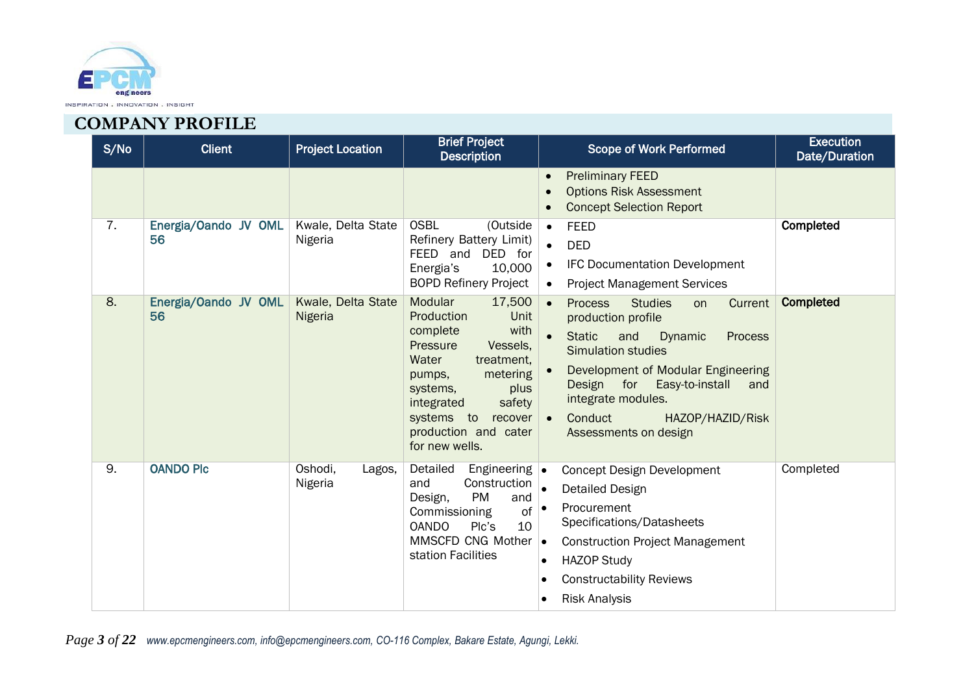

| S/No | <b>Client</b>              | <b>Project Location</b>       | <b>Brief Project</b><br><b>Description</b>                                                                                                                                                                                                   | <b>Scope of Work Performed</b>                                                                                                                                                                                                                                                                                                                     | <b>Execution</b><br>Date/Duration |
|------|----------------------------|-------------------------------|----------------------------------------------------------------------------------------------------------------------------------------------------------------------------------------------------------------------------------------------|----------------------------------------------------------------------------------------------------------------------------------------------------------------------------------------------------------------------------------------------------------------------------------------------------------------------------------------------------|-----------------------------------|
|      |                            |                               |                                                                                                                                                                                                                                              | <b>Preliminary FEED</b><br>$\bullet$<br><b>Options Risk Assessment</b><br>$\bullet$<br><b>Concept Selection Report</b><br>$\bullet$                                                                                                                                                                                                                |                                   |
| 7.   | Energia/Oando JV OML<br>56 | Kwale, Delta State<br>Nigeria | <b>OSBL</b><br>(Outside<br>Refinery Battery Limit)<br>FEED and<br>DED for<br>10,000<br>Energia's<br><b>BOPD Refinery Project</b>                                                                                                             | <b>FEED</b><br>$\bullet$<br><b>DED</b><br><b>IFC Documentation Development</b><br>$\bullet$<br><b>Project Management Services</b><br>$\bullet$                                                                                                                                                                                                     | Completed                         |
| 8.   | Energia/Oando JV OML<br>56 | Kwale, Delta State<br>Nigeria | Modular<br>17,500<br>Unit<br>Production<br>with<br>complete<br>Pressure<br>Vessels,<br>Water<br>treatment,<br>metering<br>pumps,<br>plus<br>systems,<br>safety<br>integrated<br>systems to recover<br>production and cater<br>for new wells. | <b>Studies</b><br><b>Process</b><br>Current<br>$\bullet$<br>on<br>production profile<br><b>Static</b><br>and<br>Dynamic<br><b>Process</b><br><b>Simulation studies</b><br>Development of Modular Engineering<br>Design<br>for<br>Easy-to-install<br>and<br>integrate modules.<br>Conduct<br>HAZOP/HAZID/Risk<br>$\bullet$<br>Assessments on design | Completed                         |
| 9.   | <b>OANDO Plc</b>           | Oshodi,<br>Lagos,<br>Nigeria  | Detailed<br>Engineering $\bullet$<br>Construction<br>and<br><b>PM</b><br>Design,<br>and<br>of<br>Commissioning<br><b>OANDO</b><br>Plc's<br>10<br>MMSCFD CNG Mother<br>station Facilities                                                     | <b>Concept Design Development</b><br><b>Detailed Design</b><br>Procurement<br>$\bullet$<br>Specifications/Datasheets<br><b>Construction Project Management</b><br>$\bullet$<br><b>HAZOP Study</b><br><b>Constructability Reviews</b><br><b>Risk Analysis</b>                                                                                       | Completed                         |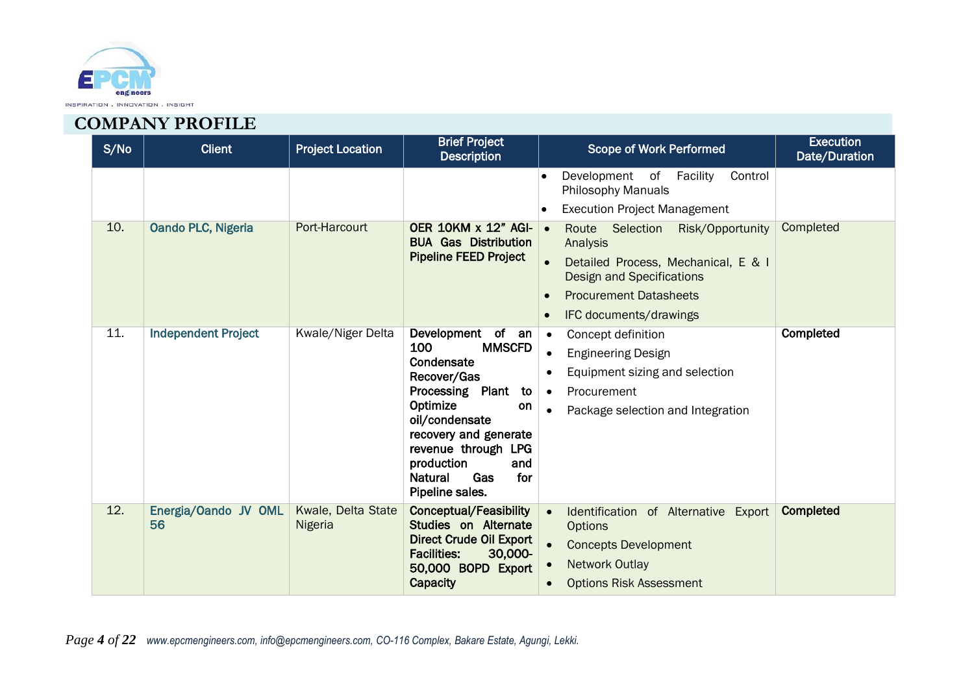

| S/No | <b>Client</b>              | <b>Project Location</b>              | <b>Brief Project</b><br><b>Description</b>                                                                                                                                                                                                         | <b>Scope of Work Performed</b>                                                                                                                                                                                                            | <b>Execution</b><br>Date/Duration |
|------|----------------------------|--------------------------------------|----------------------------------------------------------------------------------------------------------------------------------------------------------------------------------------------------------------------------------------------------|-------------------------------------------------------------------------------------------------------------------------------------------------------------------------------------------------------------------------------------------|-----------------------------------|
|      |                            |                                      |                                                                                                                                                                                                                                                    | Control<br>Development of<br>Facility<br><b>Philosophy Manuals</b><br><b>Execution Project Management</b>                                                                                                                                 |                                   |
| 10.  | Oando PLC, Nigeria         | Port-Harcourt                        | <b>OER 10KM x 12" AGI-</b><br><b>BUA Gas Distribution</b><br><b>Pipeline FEED Project</b>                                                                                                                                                          | Route Selection<br>Risk/Opportunity<br>$\bullet$<br>Analysis<br>Detailed Process, Mechanical, E & I<br>$\bullet$<br><b>Design and Specifications</b><br><b>Procurement Datasheets</b><br>$\bullet$<br>IFC documents/drawings<br>$\bullet$ | Completed                         |
| 11.  | <b>Independent Project</b> | <b>Kwale/Niger Delta</b>             | Development of an<br>100<br><b>MMSCFD</b><br>Condensate<br>Recover/Gas<br>Processing Plant to<br>Optimize<br>on<br>oil/condensate<br>recovery and generate<br>revenue through LPG<br>production<br>and<br>Gas<br>for<br>Natural<br>Pipeline sales. | Concept definition<br>$\bullet$<br><b>Engineering Design</b><br>Equipment sizing and selection<br>$\bullet$<br>Procurement<br>$\bullet$<br>Package selection and Integration                                                              | Completed                         |
| 12.  | Energia/Oando JV OML<br>56 | Kwale, Delta State<br><b>Nigeria</b> | <b>Conceptual/Feasibility</b><br>Studies on Alternate<br><b>Direct Crude Oil Export</b><br>30,000-<br><b>Facilities:</b><br>50,000 BOPD Export<br>Capacity                                                                                         | Identification of Alternative Export<br><b>Options</b><br><b>Concepts Development</b><br><b>Network Outlay</b><br><b>Options Risk Assessment</b>                                                                                          | <b>Completed</b>                  |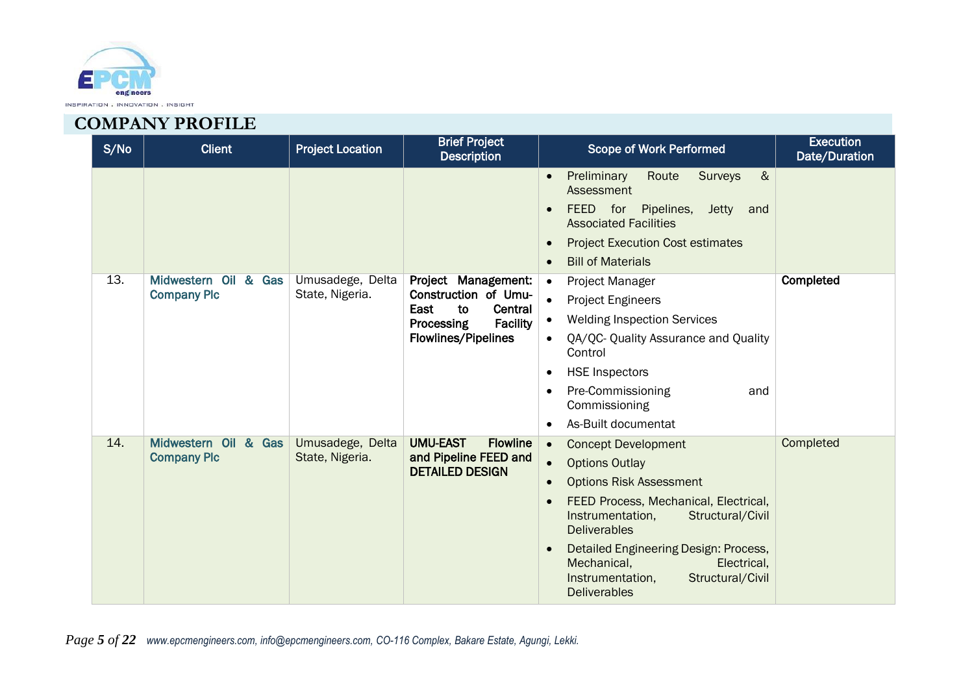

| S/No | <b>Client</b>                              | <b>Project Location</b>             | <b>Brief Project</b><br><b>Description</b>                                                                                                 | Scope of Work Performed                                                                                                                                                                                                                                                                                                             | <b>Execution</b><br>Date/Duration |
|------|--------------------------------------------|-------------------------------------|--------------------------------------------------------------------------------------------------------------------------------------------|-------------------------------------------------------------------------------------------------------------------------------------------------------------------------------------------------------------------------------------------------------------------------------------------------------------------------------------|-----------------------------------|
|      |                                            |                                     |                                                                                                                                            | $\&$<br>Preliminary<br>Route<br>Surveys<br>$\bullet$<br>Assessment<br>FEED for<br>Pipelines,<br><b>Jetty</b><br>and<br><b>Associated Facilities</b><br><b>Project Execution Cost estimates</b><br><b>Bill of Materials</b>                                                                                                          |                                   |
| 13.  | Midwestern Oil & Gas<br><b>Company Plc</b> | Umusadege, Delta<br>State, Nigeria. | Project Management:<br>Construction of Umu-<br>East<br>to<br>Central<br><b>Processing</b><br><b>Facility</b><br><b>Flowlines/Pipelines</b> | Project Manager<br>$\bullet$<br><b>Project Engineers</b><br><b>Welding Inspection Services</b><br>QA/QC- Quality Assurance and Quality<br>Control<br><b>HSE Inspectors</b><br>$\bullet$<br>Pre-Commissioning<br>and<br>$\bullet$<br>Commissioning<br>As-Built documentat                                                            | Completed                         |
| 14.  | Midwestern Oil & Gas<br><b>Company Plc</b> | Umusadege, Delta<br>State, Nigeria. | <b>UMU-EAST</b><br><b>Flowline</b><br>and Pipeline FEED and<br><b>DETAILED DESIGN</b>                                                      | <b>Concept Development</b><br><b>Options Outlay</b><br><b>Options Risk Assessment</b><br>FEED Process, Mechanical, Electrical,<br>Instrumentation,<br>Structural/Civil<br><b>Deliverables</b><br>Detailed Engineering Design: Process,<br>Mechanical,<br>Electrical,<br>Structural/Civil<br>Instrumentation,<br><b>Deliverables</b> | Completed                         |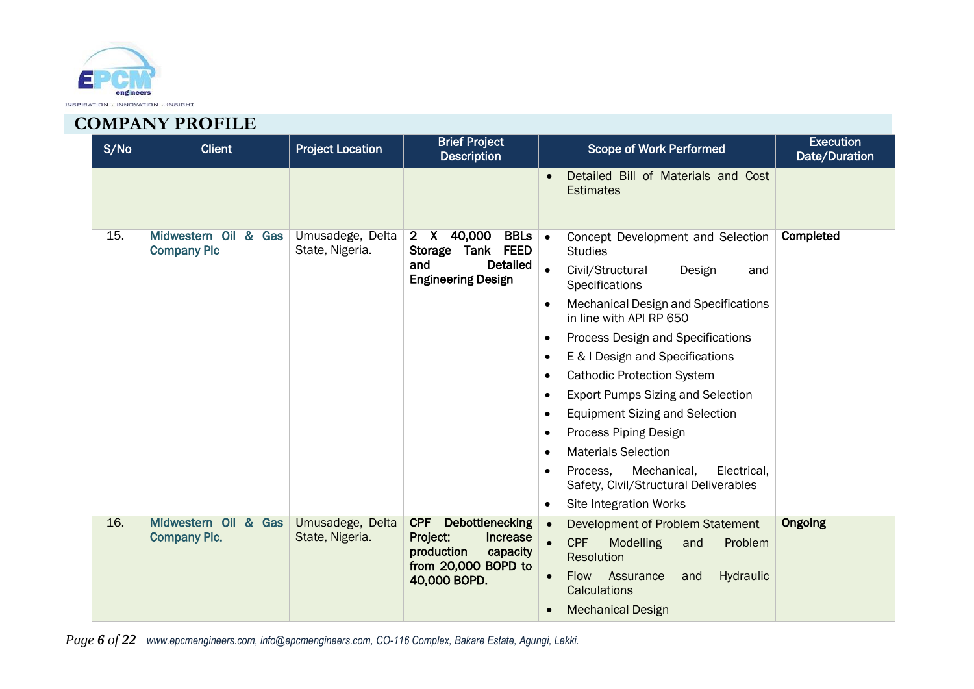

| S/No | <b>Client</b>                              | <b>Project Location</b>             | <b>Brief Project</b><br><b>Description</b>                                            | <b>Scope of Work Performed</b>                                                               | <b>Execution</b><br>Date/Duration |
|------|--------------------------------------------|-------------------------------------|---------------------------------------------------------------------------------------|----------------------------------------------------------------------------------------------|-----------------------------------|
|      |                                            |                                     |                                                                                       | Detailed Bill of Materials and Cost<br><b>Estimates</b>                                      |                                   |
| 15.  | Midwestern Oil & Gas<br><b>Company Plc</b> | Umusadege, Delta<br>State, Nigeria. | 40,000<br><b>BBLs</b> •<br>$2 \times$<br><b>FEED</b><br>Tank<br><b>Storage</b>        | Concept Development and Selection<br><b>Studies</b>                                          | Completed                         |
|      |                                            |                                     | <b>Detailed</b><br>and<br><b>Engineering Design</b>                                   | Civil/Structural<br>$\bullet$<br>Design<br>and<br>Specifications                             |                                   |
|      |                                            |                                     | <b>Mechanical Design and Specifications</b><br>$\bullet$<br>in line with API RP 650   |                                                                                              |                                   |
|      |                                            |                                     |                                                                                       | Process Design and Specifications<br>$\bullet$                                               |                                   |
|      |                                            |                                     |                                                                                       | E & I Design and Specifications<br>$\bullet$                                                 |                                   |
|      |                                            |                                     |                                                                                       | <b>Cathodic Protection System</b><br>$\bullet$                                               |                                   |
|      |                                            |                                     |                                                                                       | <b>Export Pumps Sizing and Selection</b><br>$\bullet$                                        |                                   |
|      |                                            |                                     |                                                                                       | <b>Equipment Sizing and Selection</b><br>$\bullet$                                           |                                   |
|      |                                            |                                     |                                                                                       | Process Piping Design<br>$\bullet$                                                           |                                   |
|      |                                            |                                     |                                                                                       | <b>Materials Selection</b><br>$\bullet$                                                      |                                   |
|      |                                            |                                     |                                                                                       | Mechanical,<br>Process,<br>Electrical,<br>$\bullet$<br>Safety, Civil/Structural Deliverables |                                   |
|      |                                            |                                     |                                                                                       | Site Integration Works<br>$\bullet$                                                          |                                   |
| 16.  | Midwestern Oil & Gas                       | Umusadege, Delta                    | <b>CPF</b><br>Debottlenecking                                                         | Development of Problem Statement                                                             | <b>Ongoing</b>                    |
|      | <b>Company Plc.</b>                        | State, Nigeria.                     | Increase<br>Project:<br>production<br>capacity<br>from 20,000 BOPD to<br>40,000 BOPD. | <b>CPF</b><br><b>Modelling</b><br>Problem<br>and<br>Resolution                               |                                   |
|      |                                            |                                     |                                                                                       | Hydraulic<br><b>Flow</b><br>Assurance<br>and<br>Calculations                                 |                                   |
|      |                                            |                                     |                                                                                       | <b>Mechanical Design</b><br>$\bullet$                                                        |                                   |

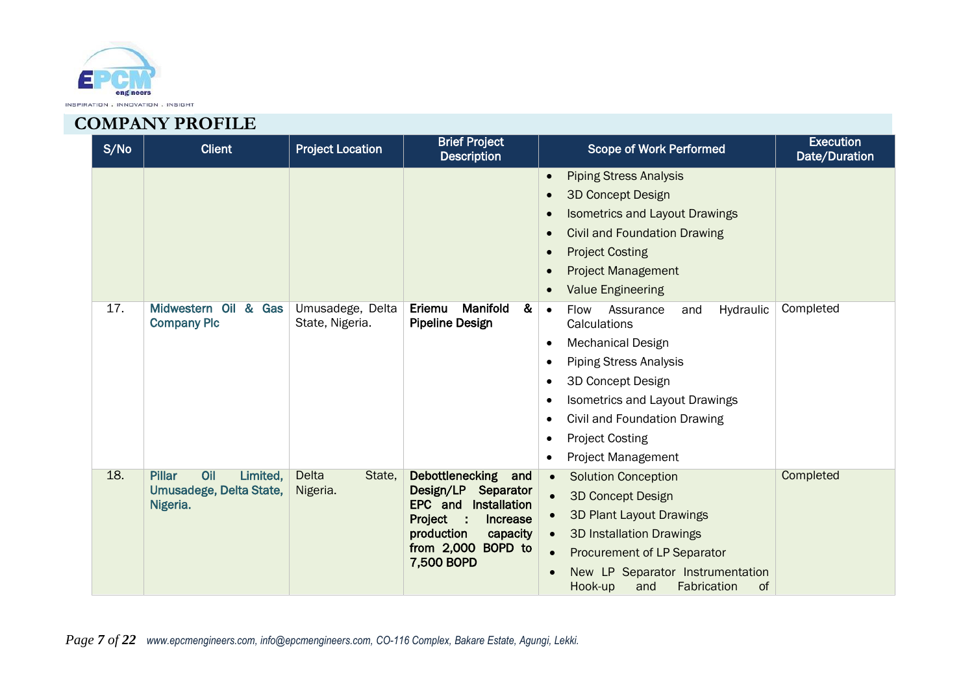

| S/No | <b>Client</b>                                                           | <b>Project Location</b>             | <b>Brief Project</b><br><b>Description</b>                                                                                                                      | <b>Scope of Work Performed</b>                                                                                                                                                                                                                                                                                        | <b>Execution</b><br>Date/Duration |
|------|-------------------------------------------------------------------------|-------------------------------------|-----------------------------------------------------------------------------------------------------------------------------------------------------------------|-----------------------------------------------------------------------------------------------------------------------------------------------------------------------------------------------------------------------------------------------------------------------------------------------------------------------|-----------------------------------|
|      |                                                                         |                                     |                                                                                                                                                                 | <b>Piping Stress Analysis</b><br>$\bullet$<br><b>3D Concept Design</b><br><b>Isometrics and Layout Drawings</b><br><b>Civil and Foundation Drawing</b><br><b>Project Costing</b><br><b>Project Management</b><br><b>Value Engineering</b>                                                                             |                                   |
| 17.  | Midwestern Oil & Gas<br><b>Company Plc</b>                              | Umusadege, Delta<br>State, Nigeria. | Manifold<br>Eriemu<br>&<br><b>Pipeline Design</b>                                                                                                               | Hydraulic<br><b>Flow</b><br>Assurance<br>and<br>$\bullet$<br>Calculations<br><b>Mechanical Design</b><br>$\bullet$<br><b>Piping Stress Analysis</b><br>3D Concept Design<br><b>Isometrics and Layout Drawings</b><br>Civil and Foundation Drawing<br><b>Project Costing</b><br><b>Project Management</b><br>$\bullet$ | Completed                         |
| 18.  | <b>Pillar</b><br>Oil<br>Limited,<br>Umusadege, Delta State,<br>Nigeria. | <b>Delta</b><br>State,<br>Nigeria.  | Debottlenecking and<br>Design/LP<br>Separator<br>EPC and<br>Installation<br>Project :<br>Increase<br>production<br>capacity<br>from 2,000 BOPD to<br>7,500 BOPD | <b>Solution Conception</b><br>$\bullet$<br><b>3D Concept Design</b><br><b>3D Plant Layout Drawings</b><br><b>3D Installation Drawings</b><br>$\bullet$<br>Procurement of LP Separator<br>New LP Separator Instrumentation<br>Fabrication<br>of<br>Hook-up<br>and                                                      | Completed                         |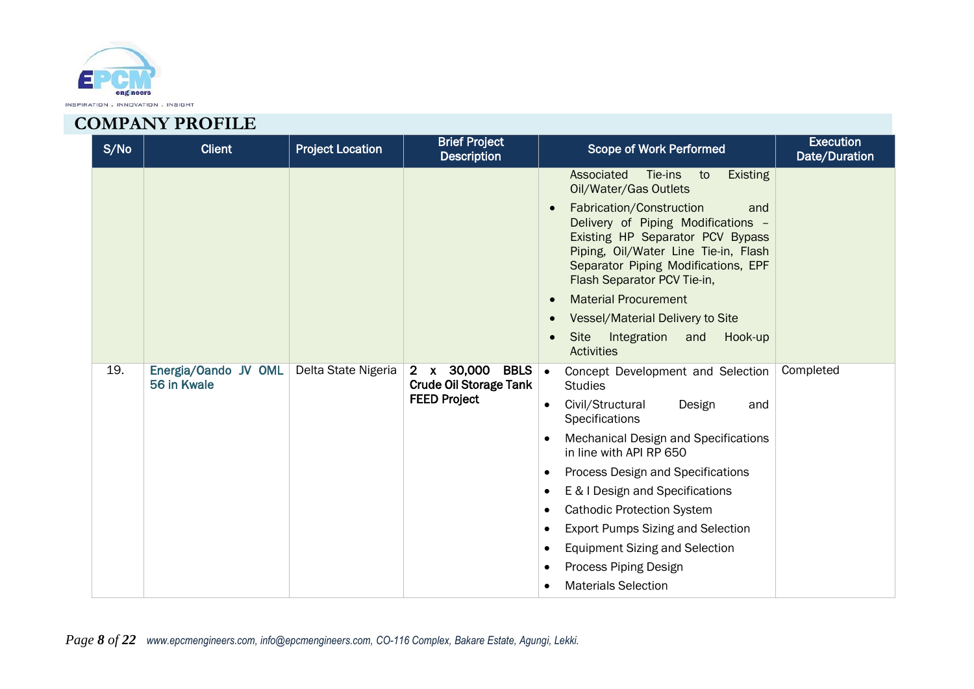

| S/No | <b>Client</b>                       | <b>Project Location</b> | <b>Brief Project</b><br><b>Description</b>                                        | Scope of Work Performed                                                                                                                                                                                                                                                                                                                                                                                                                                                                                                                                                  | <b>Execution</b><br>Date/Duration |
|------|-------------------------------------|-------------------------|-----------------------------------------------------------------------------------|--------------------------------------------------------------------------------------------------------------------------------------------------------------------------------------------------------------------------------------------------------------------------------------------------------------------------------------------------------------------------------------------------------------------------------------------------------------------------------------------------------------------------------------------------------------------------|-----------------------------------|
|      |                                     |                         |                                                                                   | Associated<br>Tie-ins<br>to<br><b>Existing</b><br>Oil/Water/Gas Outlets<br>Fabrication/Construction<br>and<br>Delivery of Piping Modifications -<br>Existing HP Separator PCV Bypass<br>Piping, Oil/Water Line Tie-in, Flash<br>Separator Piping Modifications, EPF<br>Flash Separator PCV Tie-in,<br><b>Material Procurement</b><br>Vessel/Material Delivery to Site<br>Integration<br>Site<br>Hook-up<br>and<br><b>Activities</b>                                                                                                                                      |                                   |
| 19.  | Energia/Oando JV OML<br>56 in Kwale | Delta State Nigeria     | 2 x 30,000<br><b>BBLS</b><br><b>Crude Oil Storage Tank</b><br><b>FEED Project</b> | Concept Development and Selection<br>∣•<br><b>Studies</b><br>Civil/Structural<br>Design<br>and<br>$\bullet$<br>Specifications<br><b>Mechanical Design and Specifications</b><br>$\bullet$<br>in line with API RP 650<br>Process Design and Specifications<br>$\bullet$<br>E & I Design and Specifications<br>$\bullet$<br><b>Cathodic Protection System</b><br>$\bullet$<br><b>Export Pumps Sizing and Selection</b><br>$\bullet$<br><b>Equipment Sizing and Selection</b><br>$\bullet$<br>Process Piping Design<br>$\bullet$<br><b>Materials Selection</b><br>$\bullet$ | Completed                         |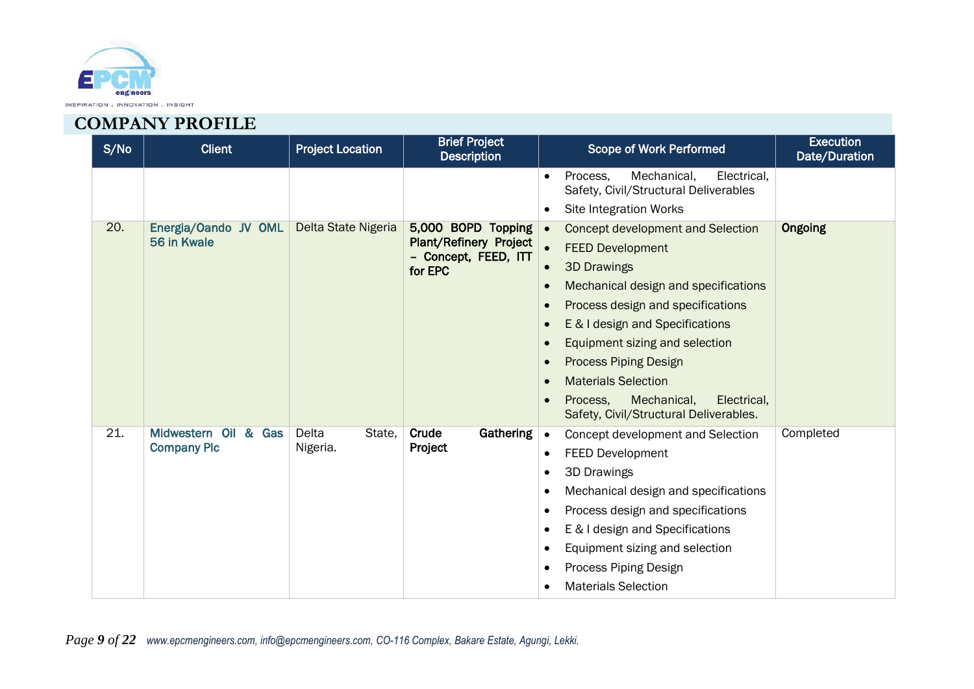

| S/No | <b>Client</b>                              | <b>Project Location</b>     | <b>Brief Project</b><br><b>Description</b>                                        | <b>Scope of Work Performed</b>                                                                                                                                                                                                                                                                                                                                                                                                                                                                              | <b>Execution</b><br>Date/Duration |
|------|--------------------------------------------|-----------------------------|-----------------------------------------------------------------------------------|-------------------------------------------------------------------------------------------------------------------------------------------------------------------------------------------------------------------------------------------------------------------------------------------------------------------------------------------------------------------------------------------------------------------------------------------------------------------------------------------------------------|-----------------------------------|
|      |                                            |                             |                                                                                   | Mechanical,<br>Electrical.<br>Process.<br>$\bullet$<br>Safety, Civil/Structural Deliverables<br><b>Site Integration Works</b><br>$\bullet$                                                                                                                                                                                                                                                                                                                                                                  |                                   |
| 20.  | Energia/Oando JV OML<br>56 in Kwale        | Delta State Nigeria         | 5,000 BOPD Topping .<br>Plant/Refinery Project<br>- Concept, FEED, ITT<br>for EPC | Concept development and Selection<br>$\bullet$<br><b>FEED Development</b><br><b>3D Drawings</b><br>$\bullet$<br>Mechanical design and specifications<br>$\bullet$<br>Process design and specifications<br>$\bullet$<br>E & I design and Specifications<br>$\bullet$<br>Equipment sizing and selection<br>$\bullet$<br><b>Process Piping Design</b><br>$\bullet$<br><b>Materials Selection</b><br>$\bullet$<br>Mechanical,<br>Process.<br>Electrical,<br>$\bullet$<br>Safety, Civil/Structural Deliverables. | <b>Ongoing</b>                    |
| 21.  | Midwestern Oil & Gas<br><b>Company Plc</b> | Delta<br>State,<br>Nigeria. | Crude<br><b>Gathering</b><br>Project                                              | Concept development and Selection<br>$\bullet$<br><b>FEED Development</b><br>$\bullet$<br><b>3D Drawings</b><br>$\bullet$<br>Mechanical design and specifications<br>$\bullet$<br>Process design and specifications<br>$\bullet$<br>E & I design and Specifications<br>$\bullet$<br>Equipment sizing and selection<br>$\bullet$<br>Process Piping Design<br>$\bullet$<br><b>Materials Selection</b><br>$\bullet$                                                                                            | Completed                         |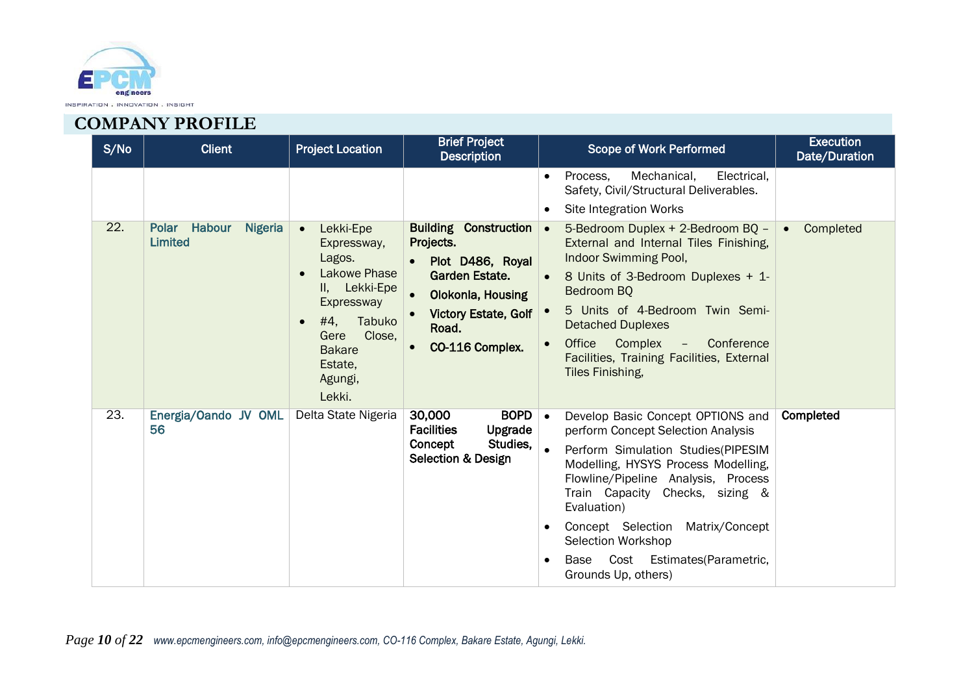

| S/No | <b>Client</b>                                    | <b>Project Location</b>                                                                                                                                                                          | <b>Brief Project</b><br><b>Description</b>                                                                                                                                          | <b>Scope of Work Performed</b>                                                                                                                                                                                                                                                                                                                                                               | <b>Execution</b><br>Date/Duration |
|------|--------------------------------------------------|--------------------------------------------------------------------------------------------------------------------------------------------------------------------------------------------------|-------------------------------------------------------------------------------------------------------------------------------------------------------------------------------------|----------------------------------------------------------------------------------------------------------------------------------------------------------------------------------------------------------------------------------------------------------------------------------------------------------------------------------------------------------------------------------------------|-----------------------------------|
|      |                                                  |                                                                                                                                                                                                  |                                                                                                                                                                                     | Mechanical,<br>Electrical,<br>Process.<br>$\bullet$<br>Safety, Civil/Structural Deliverables.<br><b>Site Integration Works</b><br>$\bullet$                                                                                                                                                                                                                                                  |                                   |
| 22.  | Polar Habour<br><b>Nigeria</b><br><b>Limited</b> | Lekki-Epe<br>$\bullet$<br>Expressway,<br>Lagos.<br>Lakowe Phase<br>$\epsilon$<br>II, Lekki-Epe<br>Expressway<br>#4,<br>Tabuko<br>Close,<br>Gere<br><b>Bakare</b><br>Estate,<br>Agungi,<br>Lekki. | <b>Building Construction</b><br>Projects.<br>Plot D486, Royal<br><b>Garden Estate.</b><br>Olokonla, Housing<br><b>Victory Estate, Golf</b><br>Road.<br>CO-116 Complex.<br>$\bullet$ | 5-Bedroom Duplex + 2-Bedroom BQ -<br>$\bullet$<br>External and Internal Tiles Finishing,<br>Indoor Swimming Pool,<br>8 Units of 3-Bedroom Duplexes + 1-<br>Bedroom BO<br>5 Units of 4-Bedroom Twin Semi-<br><b>Detached Duplexes</b><br>Office<br>Complex - Conference<br>Facilities, Training Facilities, External<br>Tiles Finishing,                                                      | Completed                         |
| 23.  | Energia/Oando JV OML<br>56                       | Delta State Nigeria                                                                                                                                                                              | <b>BOPD</b><br>30,000<br><b>Facilities</b><br>Upgrade<br>Studies,<br>Concept<br><b>Selection &amp; Design</b>                                                                       | Develop Basic Concept OPTIONS and<br>$\bullet$<br>perform Concept Selection Analysis<br>Perform Simulation Studies(PIPESIM<br>$\bullet$<br>Modelling, HYSYS Process Modelling,<br>Flowline/Pipeline Analysis, Process<br>Train Capacity Checks, sizing &<br>Evaluation)<br>Concept Selection Matrix/Concept<br>Selection Workshop<br>Base Cost Estimates (Parametric,<br>Grounds Up, others) | Completed                         |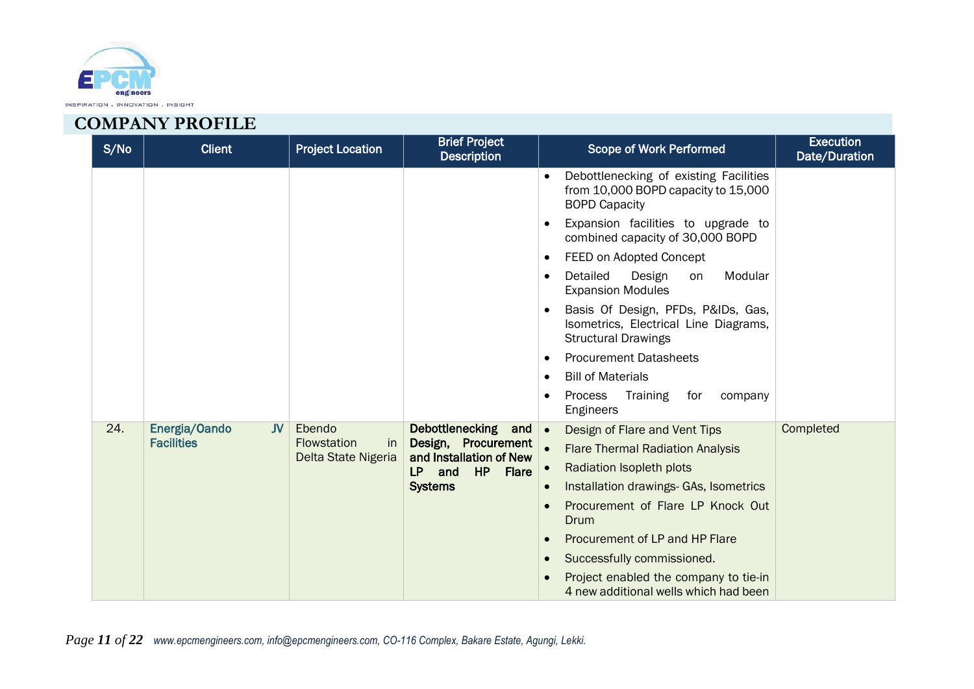

| S/No | <b>Client</b>              | <b>Project Location</b>                         | <b>Brief Project</b><br><b>Description</b>     | <b>Scope of Work Performed</b>                                                                                         | <b>Execution</b><br>Date/Duration |
|------|----------------------------|-------------------------------------------------|------------------------------------------------|------------------------------------------------------------------------------------------------------------------------|-----------------------------------|
|      |                            |                                                 |                                                | Debottlenecking of existing Facilities<br>$\bullet$<br>from 10,000 BOPD capacity to 15,000<br><b>BOPD Capacity</b>     |                                   |
|      |                            |                                                 |                                                | Expansion facilities to upgrade to<br>$\bullet$<br>combined capacity of 30,000 BOPD                                    |                                   |
|      |                            |                                                 |                                                | FEED on Adopted Concept<br>$\bullet$                                                                                   |                                   |
|      |                            |                                                 |                                                | Detailed<br>Design<br>Modular<br>on<br>$\bullet$<br><b>Expansion Modules</b>                                           |                                   |
|      |                            |                                                 |                                                | Basis Of Design, PFDs, P&IDs, Gas,<br>$\bullet$<br>Isometrics, Electrical Line Diagrams,<br><b>Structural Drawings</b> |                                   |
|      |                            |                                                 |                                                | <b>Procurement Datasheets</b><br>$\bullet$                                                                             |                                   |
|      |                            |                                                 |                                                | <b>Bill of Materials</b><br>$\bullet$                                                                                  |                                   |
|      |                            |                                                 |                                                | Process<br>Training<br>for<br>company<br>$\bullet$<br>Engineers                                                        |                                   |
| 24.  | Energia/Oando<br><b>JV</b> | Ebendo                                          | Debottlenecking<br>and $\bullet$               | Design of Flare and Vent Tips                                                                                          | Completed                         |
|      | <b>Facilities</b>          | <b>Flowstation</b><br>in<br>Delta State Nigeria | Design, Procurement<br>and Installation of New | <b>Flare Thermal Radiation Analysis</b>                                                                                |                                   |
|      |                            |                                                 | HP<br>LP.<br>and<br><b>Flare</b>               | Radiation Isopleth plots<br>$\bullet$                                                                                  |                                   |
|      |                            |                                                 | <b>Systems</b>                                 | Installation drawings- GAs, Isometrics<br>$\bullet$                                                                    |                                   |
|      |                            |                                                 |                                                | Procurement of Flare LP Knock Out<br>$\bullet$<br>Drum                                                                 |                                   |
|      |                            |                                                 |                                                | Procurement of LP and HP Flare<br>$\bullet$                                                                            |                                   |
|      |                            |                                                 |                                                | Successfully commissioned.<br>$\bullet$                                                                                |                                   |
|      |                            |                                                 |                                                | Project enabled the company to tie-in<br>4 new additional wells which had been                                         |                                   |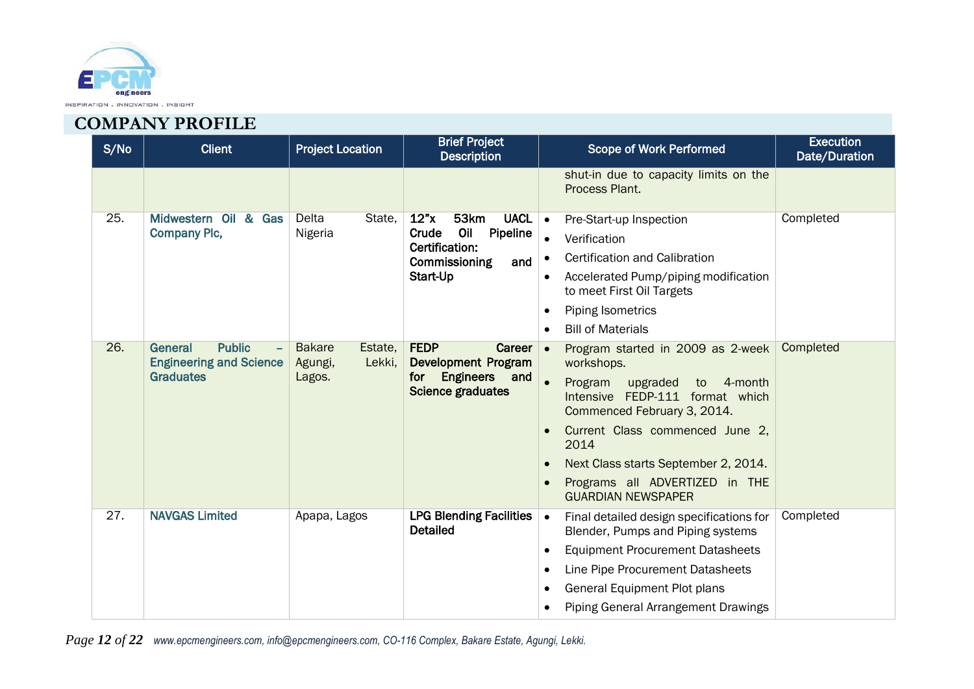

| S/No              | <b>Client</b>                                                                                                      | <b>Project Location</b>                      | <b>Brief Project</b><br><b>Description</b>                 | <b>Scope of Work Performed</b>                                                                                      | <b>Execution</b><br>Date/Duration |
|-------------------|--------------------------------------------------------------------------------------------------------------------|----------------------------------------------|------------------------------------------------------------|---------------------------------------------------------------------------------------------------------------------|-----------------------------------|
|                   |                                                                                                                    |                                              |                                                            | shut-in due to capacity limits on the<br>Process Plant.                                                             |                                   |
| 25.               | Midwestern Oil & Gas                                                                                               | Delta<br>State,                              | 12"x<br>53km<br><b>UACL</b><br>Oil<br>Crude                | Pre-Start-up Inspection<br>$\bullet$                                                                                | Completed                         |
|                   | <b>Company Plc,</b>                                                                                                | Nigeria                                      | Pipeline<br>Certification:                                 | Verification<br>$\bullet$                                                                                           |                                   |
|                   |                                                                                                                    |                                              | Commissioning<br>and                                       | <b>Certification and Calibration</b><br>$\bullet$                                                                   |                                   |
|                   |                                                                                                                    |                                              | Start-Up                                                   | Accelerated Pump/piping modification<br>$\bullet$<br>to meet First Oil Targets                                      |                                   |
|                   |                                                                                                                    |                                              |                                                            | <b>Piping Isometrics</b><br>$\bullet$                                                                               |                                   |
|                   |                                                                                                                    |                                              |                                                            | <b>Bill of Materials</b><br>$\bullet$                                                                               |                                   |
|                   | 26.<br><b>Public</b><br><b>Bakare</b><br>Estate,<br>General<br><b>Engineering and Science</b><br>Lekki,<br>Agungi, | <b>FEDP</b><br>Career<br>Development Program | Program started in 2009 as 2-week<br>∣.<br>workshops.      | Completed                                                                                                           |                                   |
|                   | <b>Graduates</b>                                                                                                   | Lagos.                                       | <b>Engineers</b><br>and<br>for<br><b>Science graduates</b> | $\bullet$<br>4-month<br>Program<br>upgraded<br>to<br>Intensive FEDP-111 format which<br>Commenced February 3, 2014. |                                   |
|                   |                                                                                                                    |                                              |                                                            | Current Class commenced June 2,<br>$\bullet$<br>2014                                                                |                                   |
|                   |                                                                                                                    |                                              |                                                            | Next Class starts September 2, 2014.<br>$\bullet$                                                                   |                                   |
|                   |                                                                                                                    |                                              |                                                            | Programs all ADVERTIZED in THE<br>$\bullet$<br><b>GUARDIAN NEWSPAPER</b>                                            |                                   |
| $\overline{27}$ . | <b>NAVGAS Limited</b>                                                                                              | Apapa, Lagos                                 | <b>LPG Blending Facilities</b><br><b>Detailed</b>          | Final detailed design specifications for<br>$\bullet$<br>Blender, Pumps and Piping systems                          | Completed                         |
|                   |                                                                                                                    |                                              |                                                            | <b>Equipment Procurement Datasheets</b><br>$\bullet$                                                                |                                   |
|                   |                                                                                                                    |                                              |                                                            | Line Pipe Procurement Datasheets<br>$\bullet$                                                                       |                                   |
|                   |                                                                                                                    |                                              |                                                            | <b>General Equipment Plot plans</b><br>$\bullet$                                                                    |                                   |
|                   |                                                                                                                    |                                              |                                                            | <b>Piping General Arrangement Drawings</b><br>$\bullet$                                                             |                                   |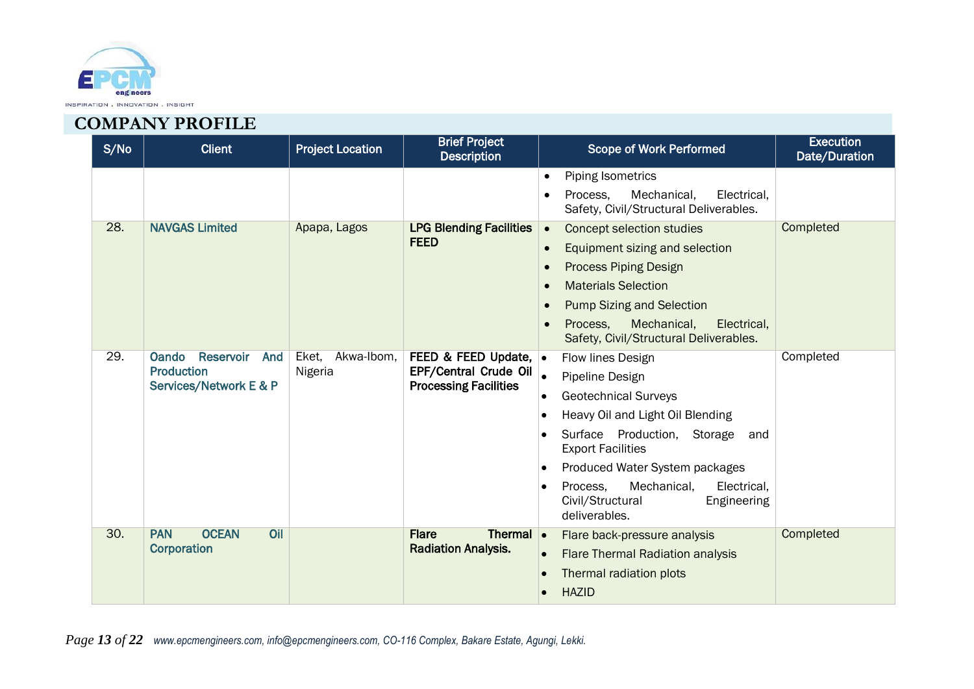

| S/No | <b>Client</b>                                                                   | <b>Project Location</b>        | <b>Brief Project</b><br><b>Description</b>                                             | <b>Scope of Work Performed</b>                                                                                                                                                                                                                                                                                                         | <b>Execution</b><br>Date/Duration |
|------|---------------------------------------------------------------------------------|--------------------------------|----------------------------------------------------------------------------------------|----------------------------------------------------------------------------------------------------------------------------------------------------------------------------------------------------------------------------------------------------------------------------------------------------------------------------------------|-----------------------------------|
|      |                                                                                 |                                |                                                                                        | <b>Piping Isometrics</b><br>$\bullet$<br>Mechanical,<br>Process,<br>Electrical,<br>$\bullet$<br>Safety, Civil/Structural Deliverables.                                                                                                                                                                                                 |                                   |
| 28.  | <b>NAVGAS Limited</b>                                                           | Apapa, Lagos                   | <b>LPG Blending Facilities</b><br><b>FEED</b>                                          | <b>Concept selection studies</b><br>$\bullet$<br>Equipment sizing and selection<br>$\bullet$<br><b>Process Piping Design</b><br>$\bullet$<br><b>Materials Selection</b><br>$\bullet$<br><b>Pump Sizing and Selection</b><br>$\bullet$<br>Mechanical,<br>Process,<br>Electrical,<br>$\bullet$<br>Safety, Civil/Structural Deliverables. | Completed                         |
| 29.  | <b>Oando</b><br>Reservoir<br>And<br><b>Production</b><br>Services/Network E & P | Akwa-Ibom,<br>Eket,<br>Nigeria | FEED & FEED Update, $\bullet$<br>EPF/Central Crude Oil<br><b>Processing Facilities</b> | Flow lines Design<br>$\bullet$<br>Pipeline Design<br><b>Geotechnical Surveys</b><br>$\bullet$<br>Heavy Oil and Light Oil Blending<br>Surface Production, Storage<br>and<br><b>Export Facilities</b><br>Produced Water System packages<br>Mechanical,<br>Electrical,<br>Process,<br>Civil/Structural<br>Engineering<br>deliverables.    | Completed                         |
| 30.  | <b>OCEAN</b><br><b>PAN</b><br>Oil<br>Corporation                                |                                | <b>Flare</b><br>Thermal $\bullet$<br><b>Radiation Analysis.</b>                        | Flare back-pressure analysis<br><b>Flare Thermal Radiation analysis</b><br>Thermal radiation plots<br><b>HAZID</b>                                                                                                                                                                                                                     | Completed                         |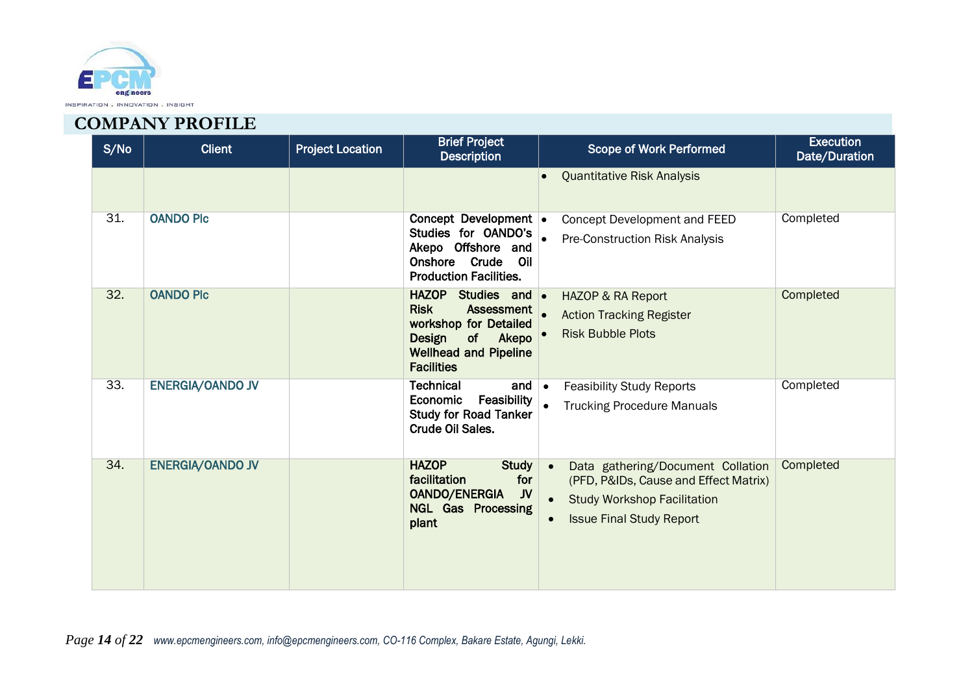

| S/No | <b>Client</b>           | <b>Project Location</b> | <b>Brief Project</b><br><b>Description</b>                                                                                                                  | Scope of Work Performed                                                                                                                             | <b>Execution</b><br>Date/Duration |
|------|-------------------------|-------------------------|-------------------------------------------------------------------------------------------------------------------------------------------------------------|-----------------------------------------------------------------------------------------------------------------------------------------------------|-----------------------------------|
|      |                         |                         |                                                                                                                                                             | <b>Quantitative Risk Analysis</b>                                                                                                                   |                                   |
| 31.  | <b>OANDO PIC</b>        |                         | Concept Development .<br>Studies for OANDO's<br>Akepo Offshore and<br>Crude<br>Onshore<br>Oil<br><b>Production Facilities.</b>                              | <b>Concept Development and FEED</b><br><b>Pre-Construction Risk Analysis</b>                                                                        | Completed                         |
| 32.  | <b>OANDO PIC</b>        |                         | HAZOP Studies and .<br><b>Risk</b><br><b>Assessment</b><br>workshop for Detailed<br>Design<br>of Akepo<br><b>Wellhead and Pipeline</b><br><b>Facilities</b> | <b>HAZOP &amp; RA Report</b><br><b>Action Tracking Register</b><br><b>Risk Bubble Plots</b>                                                         | Completed                         |
| 33.  | <b>ENERGIA/OANDO JV</b> |                         | <b>Technical</b><br>and<br>Feasibility<br>Economic<br><b>Study for Road Tanker</b><br>Crude Oil Sales.                                                      | <b>Feasibility Study Reports</b><br>$\bullet$<br><b>Trucking Procedure Manuals</b>                                                                  | Completed                         |
| 34.  | <b>ENERGIA/OANDO JV</b> |                         | <b>HAZOP</b><br><b>Study</b><br>facilitation<br>for<br>JV<br><b>OANDO/ENERGIA</b><br><b>NGL Gas Processing</b><br>plant                                     | Data gathering/Document Collation<br>(PFD, P&IDs, Cause and Effect Matrix)<br><b>Study Workshop Facilitation</b><br><b>Issue Final Study Report</b> | Completed                         |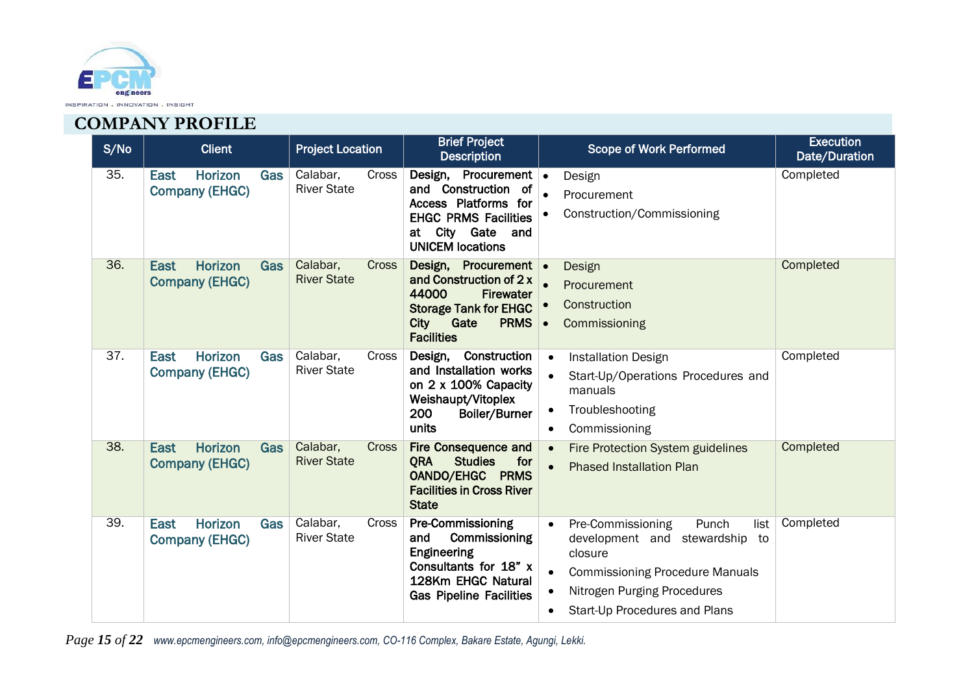

| S/No | <b>Client</b>                                                        | <b>Project Location</b>                        | <b>Brief Project</b><br><b>Description</b>                                                                                                                               | <b>Execution</b><br><b>Scope of Work Performed</b><br>Date/Duration                                                                                                                                                 |
|------|----------------------------------------------------------------------|------------------------------------------------|--------------------------------------------------------------------------------------------------------------------------------------------------------------------------|---------------------------------------------------------------------------------------------------------------------------------------------------------------------------------------------------------------------|
| 35.  | Horizon<br><b>Gas</b><br><b>East</b><br><b>Company (EHGC)</b>        | Calabar,<br><b>Cross</b><br><b>River State</b> | Design, Procurement .<br>and Construction of<br>Access Platforms for<br><b>EHGC PRMS Facilities</b><br>City Gate and<br>at<br><b>UNICEM locations</b>                    | Completed<br>Design<br>Procurement<br>Construction/Commissioning                                                                                                                                                    |
| 36.  | <b>Horizon</b><br><b>East</b><br><b>Gas</b><br><b>Company (EHGC)</b> | Calabar,<br><b>Cross</b><br><b>River State</b> | Design, Procurement .<br>and Construction of 2 x<br>44000<br><b>Firewater</b><br><b>Storage Tank for EHGC</b><br><b>City</b><br>Gate<br><b>PRMS</b><br><b>Facilities</b> | Completed<br>Design<br>Procurement<br>Construction<br>Commissioning<br>$\bullet$                                                                                                                                    |
| 37.  | Horizon<br><b>East</b><br>Gas<br><b>Company (EHGC)</b>               | Calabar,<br>Cross<br><b>River State</b>        | Design, Construction<br>and Installation works<br>on 2 x 100% Capacity<br>Weishaupt/Vitoplex<br>200<br><b>Boiler/Burner</b><br>units                                     | Completed<br><b>Installation Design</b><br>$\bullet$<br>Start-Up/Operations Procedures and<br>manuals<br>Troubleshooting<br>Commissioning                                                                           |
| 38.  | <b>Horizon</b><br><b>East</b><br><b>Gas</b><br><b>Company (EHGC)</b> | Calabar,<br><b>Cross</b><br><b>River State</b> | <b>Fire Consequence and</b><br><b>Studies</b><br>for<br><b>ORA</b><br><b>OANDO/EHGC PRMS</b><br><b>Facilities in Cross River</b><br><b>State</b>                         | Completed<br>Fire Protection System guidelines<br><b>Phased Installation Plan</b>                                                                                                                                   |
| 39.  | Horizon<br>East<br>Gas<br><b>Company (EHGC)</b>                      | Calabar,<br>Cross<br><b>River State</b>        | <b>Pre-Commissioning</b><br>and<br>Commissioning<br>Engineering<br>Consultants for 18" x<br>128Km EHGC Natural<br><b>Gas Pipeline Facilities</b>                         | Completed<br>Pre-Commissioning<br>Punch<br>list<br>$\bullet$<br>development and stewardship to<br>closure<br><b>Commissioning Procedure Manuals</b><br>Nitrogen Purging Procedures<br>Start-Up Procedures and Plans |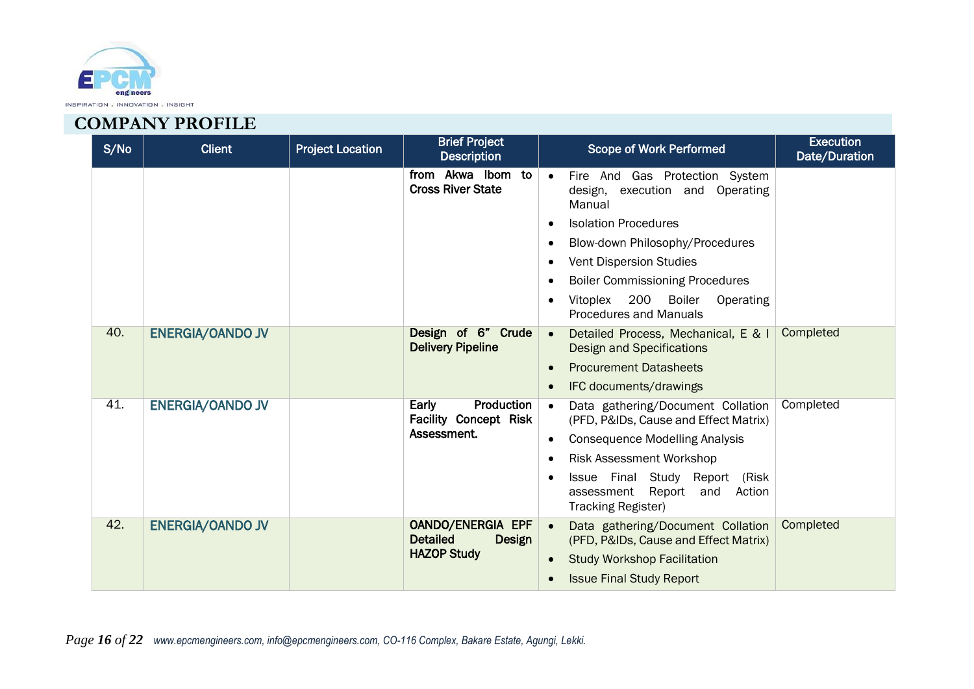

| S/No | <b>Client</b>           | <b>Project Location</b> | <b>Brief Project</b><br><b>Description</b>            | <b>Execution</b><br><b>Scope of Work Performed</b><br>Date/Duration                                  |
|------|-------------------------|-------------------------|-------------------------------------------------------|------------------------------------------------------------------------------------------------------|
|      |                         |                         | from Akwa Ibom to<br><b>Cross River State</b>         | Fire And Gas Protection System<br>design, execution and Operating<br>Manual                          |
|      |                         |                         |                                                       | <b>Isolation Procedures</b>                                                                          |
|      |                         |                         |                                                       | Blow-down Philosophy/Procedures                                                                      |
|      |                         |                         |                                                       | <b>Vent Dispersion Studies</b>                                                                       |
|      |                         |                         |                                                       | <b>Boiler Commissioning Procedures</b>                                                               |
|      |                         |                         |                                                       | 200 Boiler<br>Vitoplex<br>Operating<br>Procedures and Manuals                                        |
| 40.  | <b>ENERGIA/OANDO JV</b> |                         | Design of 6" Crude<br><b>Delivery Pipeline</b>        | Completed<br>Detailed Process, Mechanical, E & I<br><b>Design and Specifications</b>                 |
|      |                         |                         |                                                       | <b>Procurement Datasheets</b>                                                                        |
|      |                         |                         |                                                       | IFC documents/drawings                                                                               |
| 41.  | <b>ENERGIA/OANDO JV</b> |                         | Early<br>Production<br><b>Facility Concept Risk</b>   | Completed<br>Data gathering/Document Collation<br>(PFD, P&IDs, Cause and Effect Matrix)              |
|      |                         |                         | Assessment.                                           | <b>Consequence Modelling Analysis</b>                                                                |
|      |                         |                         |                                                       | <b>Risk Assessment Workshop</b>                                                                      |
|      |                         |                         |                                                       | Issue Final Study Report (Risk<br>Report<br>assessment<br>and<br>Action<br><b>Tracking Register)</b> |
| 42.  | <b>ENERGIA/OANDO JV</b> |                         | <b>OANDO/ENERGIA EPF</b><br><b>Detailed</b><br>Design | Completed<br>Data gathering/Document Collation<br>(PFD, P&IDs, Cause and Effect Matrix)              |
|      |                         |                         | <b>HAZOP Study</b>                                    | <b>Study Workshop Facilitation</b><br>$\bullet$                                                      |
|      |                         |                         |                                                       | <b>Issue Final Study Report</b>                                                                      |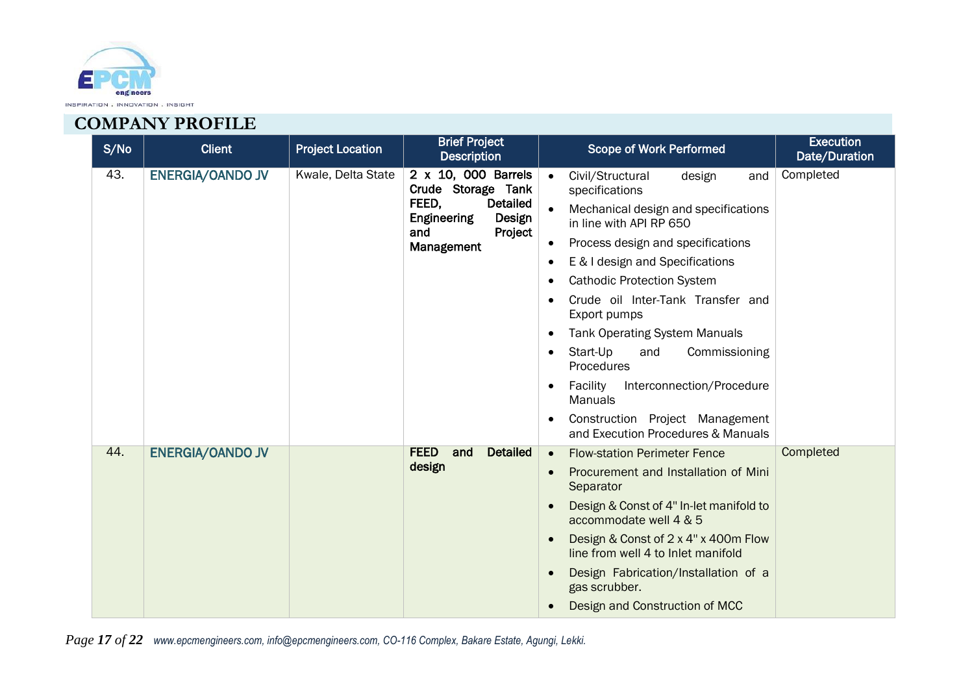

| S/No | <b>Client</b>           | <b>Project Location</b>                                     | <b>Brief Project</b><br><b>Description</b>                                        | <b>Execution</b><br><b>Scope of Work Performed</b><br>Date/Duration           |
|------|-------------------------|-------------------------------------------------------------|-----------------------------------------------------------------------------------|-------------------------------------------------------------------------------|
| 43.  | <b>ENERGIA/OANDO JV</b> | Kwale, Delta State                                          | 2 x 10, 000 Barrels<br>Crude Storage Tank                                         | Completed<br>Civil/Structural<br>design<br>and<br>$\bullet$<br>specifications |
|      |                         |                                                             | FEED,<br><b>Detailed</b><br>Engineering<br>Design<br>Project<br>and<br>Management | Mechanical design and specifications<br>in line with API RP 650               |
|      |                         |                                                             |                                                                                   | Process design and specifications                                             |
|      |                         | E & I design and Specifications                             |                                                                                   |                                                                               |
|      |                         |                                                             |                                                                                   | <b>Cathodic Protection System</b>                                             |
|      |                         |                                                             | Crude oil Inter-Tank Transfer and<br>Export pumps                                 |                                                                               |
|      |                         |                                                             |                                                                                   | <b>Tank Operating System Manuals</b>                                          |
|      |                         | Start-Up<br>and<br>Commissioning<br>$\bullet$<br>Procedures |                                                                                   |                                                                               |
|      |                         |                                                             |                                                                                   | Facility<br>Interconnection/Procedure<br><b>Manuals</b>                       |
|      |                         |                                                             |                                                                                   | Construction Project Management<br>and Execution Procedures & Manuals         |
| 44.  | <b>ENERGIA/OANDO JV</b> |                                                             | <b>FEED</b><br>and<br><b>Detailed</b>                                             | Completed<br><b>Flow-station Perimeter Fence</b><br>$\bullet$                 |
|      |                         |                                                             | design                                                                            | Procurement and Installation of Mini<br>Separator                             |
|      |                         |                                                             |                                                                                   | Design & Const of 4" In-let manifold to<br>accommodate well 4 & 5             |
|      |                         |                                                             |                                                                                   | Design & Const of 2 x 4" x 400m Flow<br>line from well 4 to Inlet manifold    |
|      |                         |                                                             |                                                                                   | Design Fabrication/Installation of a<br>gas scrubber.                         |
|      |                         |                                                             |                                                                                   | Design and Construction of MCC                                                |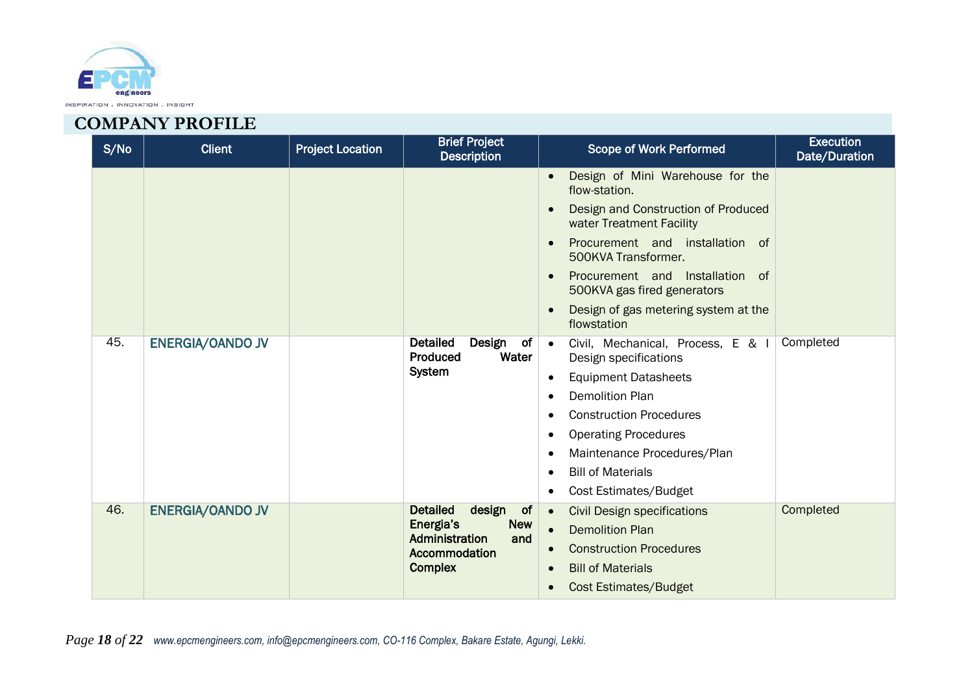

| S/No | <b>Client</b>           | <b>Project Location</b> | <b>Brief Project</b><br><b>Description</b>                                                                             | <b>Scope of Work Performed</b>                                                                                                                                                                                                                                                                                  | <b>Execution</b><br>Date/Duration |
|------|-------------------------|-------------------------|------------------------------------------------------------------------------------------------------------------------|-----------------------------------------------------------------------------------------------------------------------------------------------------------------------------------------------------------------------------------------------------------------------------------------------------------------|-----------------------------------|
|      |                         |                         |                                                                                                                        | Design of Mini Warehouse for the<br>flow-station.<br>Design and Construction of Produced<br>water Treatment Facility<br>Procurement and installation<br>of<br>500KVA Transformer.<br>Procurement and Installation<br>of<br>500KVA gas fired generators<br>Design of gas metering system at the<br>flowstation   |                                   |
| 45.  | <b>ENERGIA/OANDO JV</b> |                         | <b>Detailed</b><br>Design<br>of<br>Water<br>Produced<br>System                                                         | Civil, Mechanical, Process, E & I<br>$\bullet$<br>Design specifications<br><b>Equipment Datasheets</b><br>$\bullet$<br><b>Demolition Plan</b><br><b>Construction Procedures</b><br><b>Operating Procedures</b><br>Maintenance Procedures/Plan<br><b>Bill of Materials</b><br>Cost Estimates/Budget<br>$\bullet$ | Completed                         |
| 46.  | <b>ENERGIA/OANDO JV</b> |                         | design<br><b>Detailed</b><br>of<br>Energia's<br><b>New</b><br>Administration<br>and<br>Accommodation<br><b>Complex</b> | <b>Civil Design specifications</b><br>$\bullet$<br><b>Demolition Plan</b><br>$\bullet$<br><b>Construction Procedures</b><br><b>Bill of Materials</b><br>$\bullet$<br><b>Cost Estimates/Budget</b>                                                                                                               | Completed                         |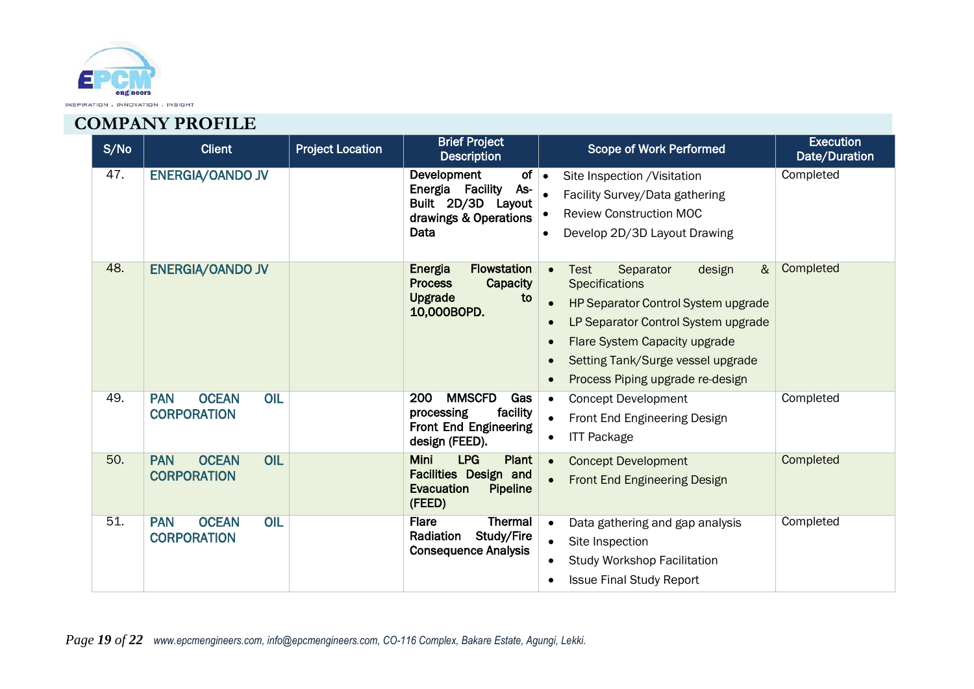

| S/No | <b>Client</b>                                           | <b>Project Location</b> | <b>Brief Project</b><br><b>Description</b>                                                              | <b>Scope of Work Performed</b>                                                                                                                                                                                                                           | <b>Execution</b><br>Date/Duration |
|------|---------------------------------------------------------|-------------------------|---------------------------------------------------------------------------------------------------------|----------------------------------------------------------------------------------------------------------------------------------------------------------------------------------------------------------------------------------------------------------|-----------------------------------|
| 47.  | <b>ENERGIA/OANDO JV</b>                                 |                         | Development<br>of<br>As-<br>Energia Facility<br>Built 2D/3D Layout<br>drawings & Operations<br>Data     | Site Inspection / Visitation<br>$\bullet$<br>Facility Survey/Data gathering<br><b>Review Construction MOC</b><br>Develop 2D/3D Layout Drawing<br>$\bullet$                                                                                               | Completed                         |
| 48.  | <b>ENERGIA/OANDO JV</b>                                 |                         | <b>Flowstation</b><br>Energia<br>Capacity<br><b>Process</b><br><b>Upgrade</b><br>to<br>10,000BOPD.      | $\alpha$<br>Separator<br>design<br>Test<br><b>Specifications</b><br>HP Separator Control System upgrade<br>LP Separator Control System upgrade<br>Flare System Capacity upgrade<br>Setting Tank/Surge vessel upgrade<br>Process Piping upgrade re-design | Completed                         |
| 49.  | <b>PAN</b><br><b>OCEAN</b><br>OIL<br><b>CORPORATION</b> |                         | <b>MMSCFD</b><br>200<br>Gas<br>facility<br>processing<br><b>Front End Engineering</b><br>design (FEED). | <b>Concept Development</b><br>Front End Engineering Design<br><b>ITT Package</b>                                                                                                                                                                         | Completed                         |
| 50.  | OIL<br><b>PAN</b><br><b>OCEAN</b><br><b>CORPORATION</b> |                         | <b>Mini</b><br><b>LPG</b><br>Plant<br>Facilities Design and<br>Evacuation<br><b>Pipeline</b><br>(FEED)  | <b>Concept Development</b><br><b>Front End Engineering Design</b>                                                                                                                                                                                        | Completed                         |
| 51.  | OIL<br><b>PAN</b><br><b>OCEAN</b><br><b>CORPORATION</b> |                         | <b>Thermal</b><br><b>Flare</b><br>Study/Fire<br>Radiation<br><b>Consequence Analysis</b>                | Data gathering and gap analysis<br>Site Inspection<br><b>Study Workshop Facilitation</b><br><b>Issue Final Study Report</b>                                                                                                                              | Completed                         |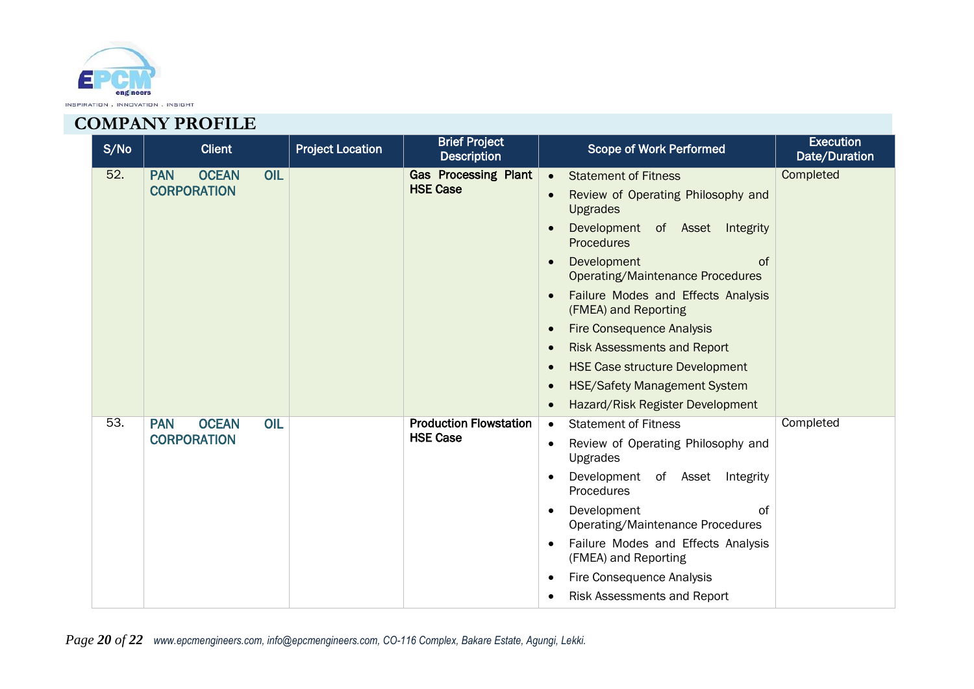

| S/No | <b>Client</b>                     | <b>Project Location</b> | <b>Brief Project</b><br><b>Description</b> | <b>Scope of Work Performed</b>                               | <b>Execution</b><br>Date/Duration |
|------|-----------------------------------|-------------------------|--------------------------------------------|--------------------------------------------------------------|-----------------------------------|
| 52.  | <b>OCEAN</b><br>OIL<br><b>PAN</b> |                         | <b>Gas Processing Plant</b>                | <b>Statement of Fitness</b><br>$\bullet$                     | Completed                         |
|      | <b>CORPORATION</b>                |                         | <b>HSE Case</b>                            | Review of Operating Philosophy and<br><b>Upgrades</b>        |                                   |
|      |                                   |                         |                                            | Development of Asset Integrity<br><b>Procedures</b>          |                                   |
|      |                                   |                         |                                            | Development<br><b>of</b><br>Operating/Maintenance Procedures |                                   |
|      |                                   |                         |                                            | Failure Modes and Effects Analysis<br>(FMEA) and Reporting   |                                   |
|      |                                   |                         |                                            | <b>Fire Consequence Analysis</b>                             |                                   |
|      |                                   |                         |                                            | <b>Risk Assessments and Report</b>                           |                                   |
|      |                                   |                         |                                            | <b>HSE Case structure Development</b>                        |                                   |
|      |                                   |                         |                                            | <b>HSE/Safety Management System</b>                          |                                   |
|      |                                   |                         |                                            | Hazard/Risk Register Development                             |                                   |
| 53.  | <b>OCEAN</b><br>OIL<br><b>PAN</b> |                         | <b>Production Flowstation</b>              | <b>Statement of Fitness</b><br>$\bullet$                     | Completed                         |
|      | <b>CORPORATION</b>                |                         | <b>HSE Case</b>                            | Review of Operating Philosophy and<br>Upgrades               |                                   |
|      |                                   |                         |                                            | Development of Asset Integrity<br>Procedures                 |                                   |
|      |                                   |                         |                                            | Development<br>0f<br>Operating/Maintenance Procedures        |                                   |
|      |                                   |                         |                                            | Failure Modes and Effects Analysis<br>(FMEA) and Reporting   |                                   |
|      |                                   |                         |                                            | <b>Fire Consequence Analysis</b>                             |                                   |
|      |                                   |                         |                                            | Risk Assessments and Report                                  |                                   |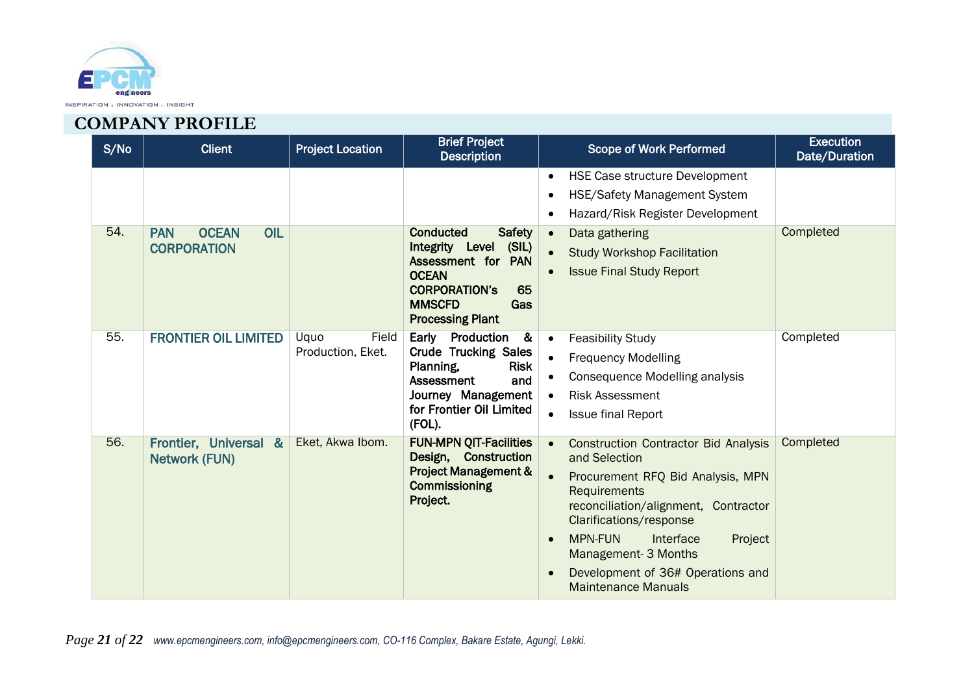

| S/No | <b>Client</b>                                           | <b>Project Location</b>            | <b>Brief Project</b><br><b>Description</b>                                                                                                                                              | <b>Scope of Work Performed</b>                                                                                                                                                                                                                                                                                            | <b>Execution</b><br>Date/Duration |
|------|---------------------------------------------------------|------------------------------------|-----------------------------------------------------------------------------------------------------------------------------------------------------------------------------------------|---------------------------------------------------------------------------------------------------------------------------------------------------------------------------------------------------------------------------------------------------------------------------------------------------------------------------|-----------------------------------|
|      |                                                         |                                    |                                                                                                                                                                                         | <b>HSE Case structure Development</b><br><b>HSE/Safety Management System</b><br>Hazard/Risk Register Development                                                                                                                                                                                                          |                                   |
| 54.  | OIL<br><b>PAN</b><br><b>OCEAN</b><br><b>CORPORATION</b> |                                    | <b>Safety</b><br><b>Conducted</b><br>(SIL)<br>Integrity Level<br>Assessment for PAN<br><b>OCEAN</b><br>65<br><b>CORPORATION'S</b><br><b>MMSCFD</b><br>Gas<br><b>Processing Plant</b>    | Data gathering<br><b>Study Workshop Facilitation</b><br><b>Issue Final Study Report</b>                                                                                                                                                                                                                                   | Completed                         |
| 55.  | <b>FRONTIER OIL LIMITED</b>                             | Uquo<br>Field<br>Production, Eket. | Early Production<br>$\overline{\mathbf{g}}$<br><b>Crude Trucking Sales</b><br>Planning,<br><b>Risk</b><br>Assessment<br>and<br>Journey Management<br>for Frontier Oil Limited<br>(FOL). | <b>Feasibility Study</b><br><b>Frequency Modelling</b><br>Consequence Modelling analysis<br><b>Risk Assessment</b><br><b>Issue final Report</b>                                                                                                                                                                           | Completed                         |
| 56.  | Frontier, Universal &<br><b>Network (FUN)</b>           | Eket, Akwa Ibom.                   | <b>FUN-MPN QIT-Facilities</b><br>Design, Construction<br><b>Project Management &amp;</b><br>Commissioning<br>Project.                                                                   | <b>Construction Contractor Bid Analysis</b><br>and Selection<br>Procurement RFQ Bid Analysis, MPN<br>Requirements<br>reconciliation/alignment, Contractor<br>Clarifications/response<br><b>MPN-FUN</b><br>Interface<br>Project<br>Management- 3 Months<br>Development of 36# Operations and<br><b>Maintenance Manuals</b> | Completed                         |